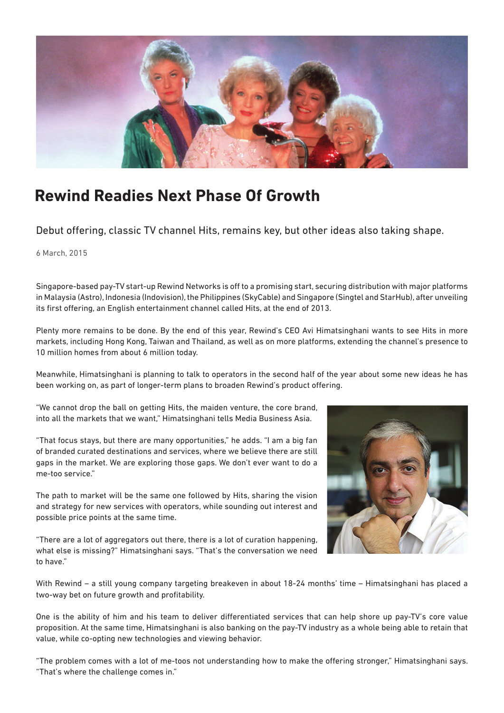

## **Rewind Readies Next Phase Of Growth**

Debut offering, classic TV channel Hits, remains key, but other ideas also taking shape.

6 March, 2015

Singapore-based pay-TV start-up Rewind Networks is off to a promising start, securing distribution with major platforms in Malaysia (Astro), Indonesia (Indovision), the Philippines (SkyCable) and Singapore (Singtel and StarHub), after unveiling its first offering, an English entertainment channel called Hits, at the end of 2013.

Plenty more remains to be done. By the end of this year, Rewind's CEO Avi Himatsinghani wants to see Hits in more markets, including Hong Kong, Taiwan and Thailand, as well as on more platforms, extending the channel's presence to 10 million homes from about 6 million today.

Meanwhile, Himatsinghani is planning to talk to operators in the second half of the year about some new ideas he has been working on, as part of longer-term plans to broaden Rewind's product offering.

"We cannot drop the ball on getting Hits, the maiden venture, the core brand, into all the markets that we want," Himatsinghani tells Media Business Asia.

"That focus stays, but there are many opportunities," he adds. "I am a big fan of branded curated destinations and services, where we believe there are still gaps in the market. We are exploring those gaps. We don't ever want to do a me-too service."

The path to market will be the same one followed by Hits, sharing the vision and strategy for new services with operators, while sounding out interest and possible price points at the same time.

"There are a lot of aggregators out there, there is a lot of curation happening, what else is missing?" Himatsinghani says. "That's the conversation we need to have."



With Rewind – a still young company targeting breakeven in about 18-24 months' time – Himatsinghani has placed a two-way bet on future growth and profitability.

One is the ability of him and his team to deliver differentiated services that can help shore up pay-TV's core value proposition. At the same time, Himatsinghani is also banking on the pay-TV industry as a whole being able to retain that value, while co-opting new technologies and viewing behavior.

"The problem comes with a lot of me-toos not understanding how to make the offering stronger," Himatsinghani says. "That's where the challenge comes in."